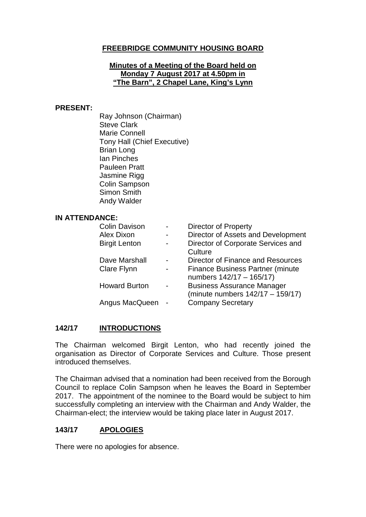# **FREEBRIDGE COMMUNITY HOUSING BOARD**

#### **Minutes of a Meeting of the Board held on Monday 7 August 2017 at 4.50pm in "The Barn", 2 Chapel Lane, King's Lynn**

#### **PRESENT:**

Ray Johnson (Chairman) Steve Clark Marie Connell Tony Hall (Chief Executive) Brian Long Ian Pinches Pauleen Pratt Jasmine Rigg Colin Sampson Simon Smith Andy Walder

#### **IN ATTENDANCE:**

| <b>Colin Davison</b><br>Alex Dixon | <b>Director of Property</b>                                              |
|------------------------------------|--------------------------------------------------------------------------|
| <b>Birgit Lenton</b>               | Director of Assets and Development<br>Director of Corporate Services and |
|                                    | Culture                                                                  |
| Dave Marshall                      | Director of Finance and Resources                                        |
| <b>Clare Flynn</b>                 | <b>Finance Business Partner (minute</b><br>numbers 142/17 - 165/17)      |
| <b>Howard Burton</b>               | <b>Business Assurance Manager</b><br>(minute numbers 142/17 - 159/17)    |
| Angus MacQueen                     | <b>Company Secretary</b>                                                 |

#### **142/17 INTRODUCTIONS**

The Chairman welcomed Birgit Lenton, who had recently joined the organisation as Director of Corporate Services and Culture. Those present introduced themselves.

The Chairman advised that a nomination had been received from the Borough Council to replace Colin Sampson when he leaves the Board in September 2017. The appointment of the nominee to the Board would be subject to him successfully completing an interview with the Chairman and Andy Walder, the Chairman-elect; the interview would be taking place later in August 2017.

#### **143/17 APOLOGIES**

There were no apologies for absence.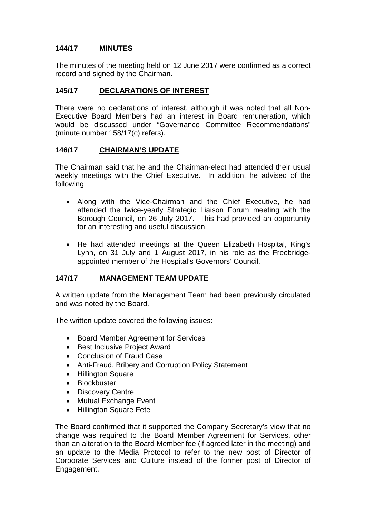# **144/17 MINUTES**

The minutes of the meeting held on 12 June 2017 were confirmed as a correct record and signed by the Chairman.

## **145/17 DECLARATIONS OF INTEREST**

There were no declarations of interest, although it was noted that all Non-Executive Board Members had an interest in Board remuneration, which would be discussed under "Governance Committee Recommendations" (minute number 158/17(c) refers).

### **146/17 CHAIRMAN'S UPDATE**

The Chairman said that he and the Chairman-elect had attended their usual weekly meetings with the Chief Executive. In addition, he advised of the following:

- Along with the Vice-Chairman and the Chief Executive, he had attended the twice-yearly Strategic Liaison Forum meeting with the Borough Council, on 26 July 2017. This had provided an opportunity for an interesting and useful discussion.
- He had attended meetings at the Queen Elizabeth Hospital, King's Lynn, on 31 July and 1 August 2017, in his role as the Freebridgeappointed member of the Hospital's Governors' Council.

# **147/17 MANAGEMENT TEAM UPDATE**

A written update from the Management Team had been previously circulated and was noted by the Board.

The written update covered the following issues:

- Board Member Agreement for Services
- Best Inclusive Project Award
- Conclusion of Fraud Case
- Anti-Fraud, Bribery and Corruption Policy Statement
- Hillington Square
- Blockbuster
- Discovery Centre
- Mutual Exchange Event
- Hillington Square Fete

The Board confirmed that it supported the Company Secretary's view that no change was required to the Board Member Agreement for Services, other than an alteration to the Board Member fee (if agreed later in the meeting) and an update to the Media Protocol to refer to the new post of Director of Corporate Services and Culture instead of the former post of Director of Engagement.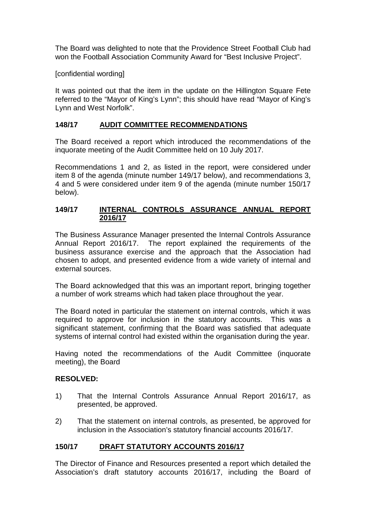The Board was delighted to note that the Providence Street Football Club had won the Football Association Community Award for "Best Inclusive Project".

### [confidential wording]

It was pointed out that the item in the update on the Hillington Square Fete referred to the "Mayor of King's Lynn"; this should have read "Mayor of King's Lynn and West Norfolk".

## **148/17 AUDIT COMMITTEE RECOMMENDATIONS**

The Board received a report which introduced the recommendations of the inquorate meeting of the Audit Committee held on 10 July 2017.

Recommendations 1 and 2, as listed in the report, were considered under item 8 of the agenda (minute number 149/17 below), and recommendations 3, 4 and 5 were considered under item 9 of the agenda (minute number 150/17 below).

#### **149/17 INTERNAL CONTROLS ASSURANCE ANNUAL REPORT 2016/17**

The Business Assurance Manager presented the Internal Controls Assurance Annual Report 2016/17. The report explained the requirements of the business assurance exercise and the approach that the Association had chosen to adopt, and presented evidence from a wide variety of internal and external sources.

The Board acknowledged that this was an important report, bringing together a number of work streams which had taken place throughout the year.

The Board noted in particular the statement on internal controls, which it was required to approve for inclusion in the statutory accounts. This was a significant statement, confirming that the Board was satisfied that adequate systems of internal control had existed within the organisation during the year.

Having noted the recommendations of the Audit Committee (inquorate meeting), the Board

### **RESOLVED:**

- 1) That the Internal Controls Assurance Annual Report 2016/17, as presented, be approved.
- 2) That the statement on internal controls, as presented, be approved for inclusion in the Association's statutory financial accounts 2016/17.

# **150/17 DRAFT STATUTORY ACCOUNTS 2016/17**

The Director of Finance and Resources presented a report which detailed the Association's draft statutory accounts 2016/17, including the Board of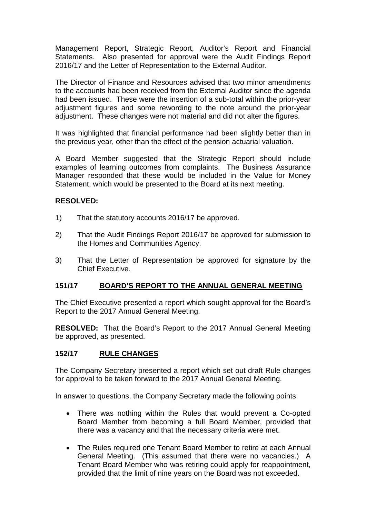Management Report, Strategic Report, Auditor's Report and Financial Statements. Also presented for approval were the Audit Findings Report 2016/17 and the Letter of Representation to the External Auditor.

The Director of Finance and Resources advised that two minor amendments to the accounts had been received from the External Auditor since the agenda had been issued. These were the insertion of a sub-total within the prior-year adjustment figures and some rewording to the note around the prior-year adjustment. These changes were not material and did not alter the figures.

It was highlighted that financial performance had been slightly better than in the previous year, other than the effect of the pension actuarial valuation.

A Board Member suggested that the Strategic Report should include examples of learning outcomes from complaints. The Business Assurance Manager responded that these would be included in the Value for Money Statement, which would be presented to the Board at its next meeting.

### **RESOLVED:**

- 1) That the statutory accounts 2016/17 be approved.
- 2) That the Audit Findings Report 2016/17 be approved for submission to the Homes and Communities Agency.
- 3) That the Letter of Representation be approved for signature by the Chief Executive.

# **151/17 BOARD'S REPORT TO THE ANNUAL GENERAL MEETING**

The Chief Executive presented a report which sought approval for the Board's Report to the 2017 Annual General Meeting.

**RESOLVED:** That the Board's Report to the 2017 Annual General Meeting be approved, as presented.

# **152/17 RULE CHANGES**

The Company Secretary presented a report which set out draft Rule changes for approval to be taken forward to the 2017 Annual General Meeting.

In answer to questions, the Company Secretary made the following points:

- There was nothing within the Rules that would prevent a Co-opted Board Member from becoming a full Board Member, provided that there was a vacancy and that the necessary criteria were met.
- The Rules required one Tenant Board Member to retire at each Annual General Meeting. (This assumed that there were no vacancies.) A Tenant Board Member who was retiring could apply for reappointment, provided that the limit of nine years on the Board was not exceeded.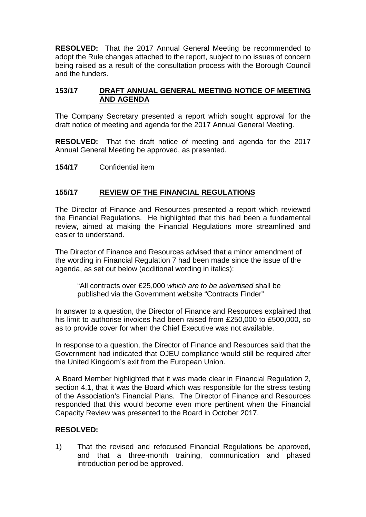**RESOLVED:** That the 2017 Annual General Meeting be recommended to adopt the Rule changes attached to the report, subject to no issues of concern being raised as a result of the consultation process with the Borough Council and the funders.

### **153/17 DRAFT ANNUAL GENERAL MEETING NOTICE OF MEETING AND AGENDA**

The Company Secretary presented a report which sought approval for the draft notice of meeting and agenda for the 2017 Annual General Meeting.

**RESOLVED:** That the draft notice of meeting and agenda for the 2017 Annual General Meeting be approved, as presented.

**154/17** Confidential item

### **155/17 REVIEW OF THE FINANCIAL REGULATIONS**

The Director of Finance and Resources presented a report which reviewed the Financial Regulations. He highlighted that this had been a fundamental review, aimed at making the Financial Regulations more streamlined and easier to understand.

The Director of Finance and Resources advised that a minor amendment of the wording in Financial Regulation 7 had been made since the issue of the agenda, as set out below (additional wording in italics):

"All contracts over £25,000 *which are to be advertised* shall be published via the Government website "Contracts Finder"

In answer to a question, the Director of Finance and Resources explained that his limit to authorise invoices had been raised from £250,000 to £500,000, so as to provide cover for when the Chief Executive was not available.

In response to a question, the Director of Finance and Resources said that the Government had indicated that OJEU compliance would still be required after the United Kingdom's exit from the European Union.

A Board Member highlighted that it was made clear in Financial Regulation 2, section 4.1, that it was the Board which was responsible for the stress testing of the Association's Financial Plans. The Director of Finance and Resources responded that this would become even more pertinent when the Financial Capacity Review was presented to the Board in October 2017.

#### **RESOLVED:**

1) That the revised and refocused Financial Regulations be approved, and that a three-month training, communication and phased introduction period be approved.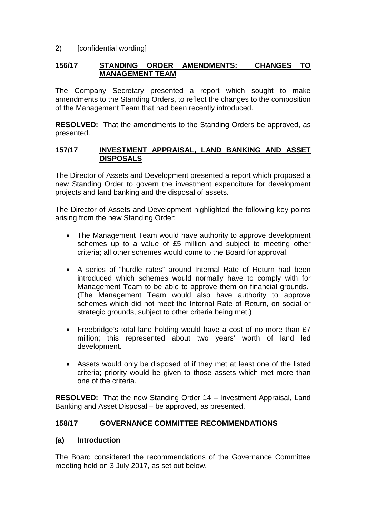### 2) [confidential wording]

### **156/17 STANDING ORDER AMENDMENTS: CHANGES TO MANAGEMENT TEAM**

The Company Secretary presented a report which sought to make amendments to the Standing Orders, to reflect the changes to the composition of the Management Team that had been recently introduced.

**RESOLVED:** That the amendments to the Standing Orders be approved, as presented.

#### **157/17 INVESTMENT APPRAISAL, LAND BANKING AND ASSET DISPOSALS**

The Director of Assets and Development presented a report which proposed a new Standing Order to govern the investment expenditure for development projects and land banking and the disposal of assets.

The Director of Assets and Development highlighted the following key points arising from the new Standing Order:

- The Management Team would have authority to approve development schemes up to a value of £5 million and subject to meeting other criteria; all other schemes would come to the Board for approval.
- A series of "hurdle rates" around Internal Rate of Return had been introduced which schemes would normally have to comply with for Management Team to be able to approve them on financial grounds. (The Management Team would also have authority to approve schemes which did not meet the Internal Rate of Return, on social or strategic grounds, subject to other criteria being met.)
- Freebridge's total land holding would have a cost of no more than £7 million; this represented about two years' worth of land led development.
- Assets would only be disposed of if they met at least one of the listed criteria; priority would be given to those assets which met more than one of the criteria.

**RESOLVED:** That the new Standing Order 14 – Investment Appraisal, Land Banking and Asset Disposal – be approved, as presented.

# **158/17 GOVERNANCE COMMITTEE RECOMMENDATIONS**

#### **(a) Introduction**

The Board considered the recommendations of the Governance Committee meeting held on 3 July 2017, as set out below.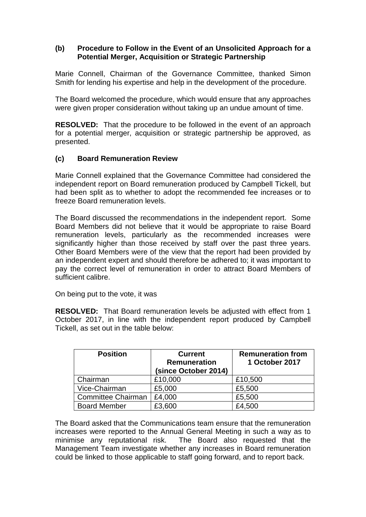### **(b) Procedure to Follow in the Event of an Unsolicited Approach for a Potential Merger, Acquisition or Strategic Partnership**

Marie Connell, Chairman of the Governance Committee, thanked Simon Smith for lending his expertise and help in the development of the procedure.

The Board welcomed the procedure, which would ensure that any approaches were given proper consideration without taking up an undue amount of time.

**RESOLVED:** That the procedure to be followed in the event of an approach for a potential merger, acquisition or strategic partnership be approved, as presented.

### **(c) Board Remuneration Review**

Marie Connell explained that the Governance Committee had considered the independent report on Board remuneration produced by Campbell Tickell, but had been split as to whether to adopt the recommended fee increases or to freeze Board remuneration levels.

The Board discussed the recommendations in the independent report. Some Board Members did not believe that it would be appropriate to raise Board remuneration levels, particularly as the recommended increases were significantly higher than those received by staff over the past three years. Other Board Members were of the view that the report had been provided by an independent expert and should therefore be adhered to; it was important to pay the correct level of remuneration in order to attract Board Members of sufficient calibre.

On being put to the vote, it was

**RESOLVED:** That Board remuneration levels be adjusted with effect from 1 October 2017, in line with the independent report produced by Campbell Tickell, as set out in the table below:

| <b>Position</b>           | <b>Current</b><br>Remuneration<br>(since October 2014) | <b>Remuneration from</b><br>1 October 2017 |
|---------------------------|--------------------------------------------------------|--------------------------------------------|
| Chairman                  | £10,000                                                | £10,500                                    |
| Vice-Chairman             | £5,000                                                 | £5,500                                     |
| <b>Committee Chairman</b> | £4,000                                                 | £5,500                                     |
| <b>Board Member</b>       | £3,600                                                 | £4,500                                     |

The Board asked that the Communications team ensure that the remuneration increases were reported to the Annual General Meeting in such a way as to The Board also requested that the Management Team investigate whether any increases in Board remuneration could be linked to those applicable to staff going forward, and to report back.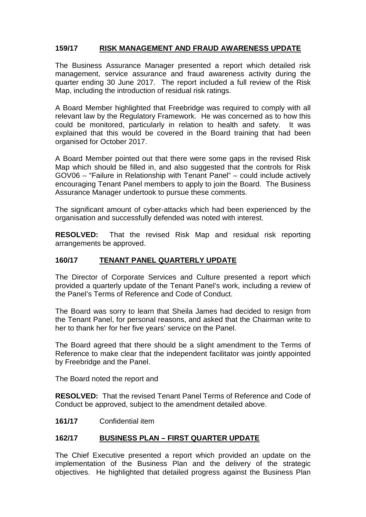# **159/17 RISK MANAGEMENT AND FRAUD AWARENESS UPDATE**

The Business Assurance Manager presented a report which detailed risk management, service assurance and fraud awareness activity during the quarter ending 30 June 2017. The report included a full review of the Risk Map, including the introduction of residual risk ratings.

A Board Member highlighted that Freebridge was required to comply with all relevant law by the Regulatory Framework. He was concerned as to how this could be monitored, particularly in relation to health and safety. It was explained that this would be covered in the Board training that had been organised for October 2017.

A Board Member pointed out that there were some gaps in the revised Risk Map which should be filled in, and also suggested that the controls for Risk GOV06 – "Failure in Relationship with Tenant Panel" – could include actively encouraging Tenant Panel members to apply to join the Board. The Business Assurance Manager undertook to pursue these comments.

The significant amount of cyber-attacks which had been experienced by the organisation and successfully defended was noted with interest.

**RESOLVED:** That the revised Risk Map and residual risk reporting arrangements be approved.

## **160/17 TENANT PANEL QUARTERLY UPDATE**

The Director of Corporate Services and Culture presented a report which provided a quarterly update of the Tenant Panel's work, including a review of the Panel's Terms of Reference and Code of Conduct.

The Board was sorry to learn that Sheila James had decided to resign from the Tenant Panel, for personal reasons, and asked that the Chairman write to her to thank her for her five years' service on the Panel.

The Board agreed that there should be a slight amendment to the Terms of Reference to make clear that the independent facilitator was jointly appointed by Freebridge and the Panel.

The Board noted the report and

**RESOLVED:** That the revised Tenant Panel Terms of Reference and Code of Conduct be approved, subject to the amendment detailed above.

#### **161/17** Confidential item

# **162/17 BUSINESS PLAN – FIRST QUARTER UPDATE**

The Chief Executive presented a report which provided an update on the implementation of the Business Plan and the delivery of the strategic objectives. He highlighted that detailed progress against the Business Plan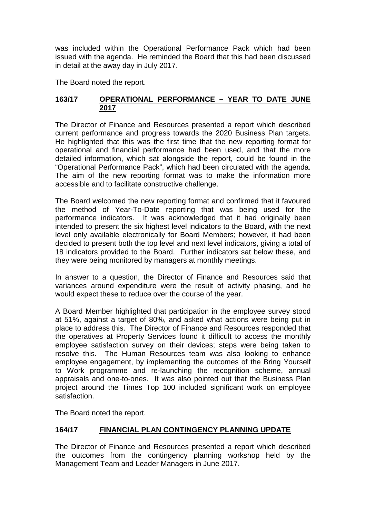was included within the Operational Performance Pack which had been issued with the agenda. He reminded the Board that this had been discussed in detail at the away day in July 2017.

The Board noted the report.

### **163/17 OPERATIONAL PERFORMANCE – YEAR TO DATE JUNE 2017**

The Director of Finance and Resources presented a report which described current performance and progress towards the 2020 Business Plan targets. He highlighted that this was the first time that the new reporting format for operational and financial performance had been used, and that the more detailed information, which sat alongside the report, could be found in the "Operational Performance Pack", which had been circulated with the agenda. The aim of the new reporting format was to make the information more accessible and to facilitate constructive challenge.

The Board welcomed the new reporting format and confirmed that it favoured the method of Year-To-Date reporting that was being used for the performance indicators. It was acknowledged that it had originally been intended to present the six highest level indicators to the Board, with the next level only available electronically for Board Members; however, it had been decided to present both the top level and next level indicators, giving a total of 18 indicators provided to the Board. Further indicators sat below these, and they were being monitored by managers at monthly meetings.

In answer to a question, the Director of Finance and Resources said that variances around expenditure were the result of activity phasing, and he would expect these to reduce over the course of the year.

A Board Member highlighted that participation in the employee survey stood at 51%, against a target of 80%, and asked what actions were being put in place to address this. The Director of Finance and Resources responded that the operatives at Property Services found it difficult to access the monthly employee satisfaction survey on their devices; steps were being taken to resolve this. The Human Resources team was also looking to enhance employee engagement, by implementing the outcomes of the Bring Yourself to Work programme and re-launching the recognition scheme, annual appraisals and one-to-ones. It was also pointed out that the Business Plan project around the Times Top 100 included significant work on employee satisfaction.

The Board noted the report.

# **164/17 FINANCIAL PLAN CONTINGENCY PLANNING UPDATE**

The Director of Finance and Resources presented a report which described the outcomes from the contingency planning workshop held by the Management Team and Leader Managers in June 2017.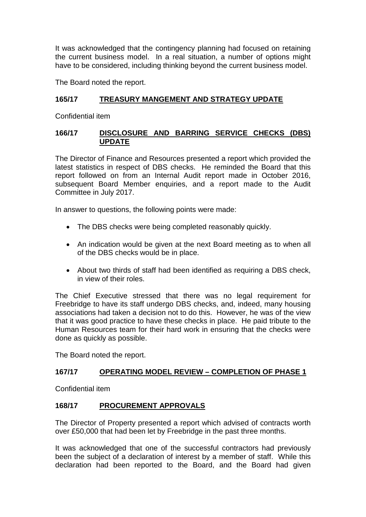It was acknowledged that the contingency planning had focused on retaining the current business model. In a real situation, a number of options might have to be considered, including thinking beyond the current business model.

The Board noted the report.

# **165/17 TREASURY MANGEMENT AND STRATEGY UPDATE**

Confidential item

## **166/17 DISCLOSURE AND BARRING SERVICE CHECKS (DBS) UPDATE**

The Director of Finance and Resources presented a report which provided the latest statistics in respect of DBS checks. He reminded the Board that this report followed on from an Internal Audit report made in October 2016, subsequent Board Member enquiries, and a report made to the Audit Committee in July 2017.

In answer to questions, the following points were made:

- The DBS checks were being completed reasonably quickly.
- An indication would be given at the next Board meeting as to when all of the DBS checks would be in place.
- About two thirds of staff had been identified as requiring a DBS check, in view of their roles.

The Chief Executive stressed that there was no legal requirement for Freebridge to have its staff undergo DBS checks, and, indeed, many housing associations had taken a decision not to do this. However, he was of the view that it was good practice to have these checks in place. He paid tribute to the Human Resources team for their hard work in ensuring that the checks were done as quickly as possible.

The Board noted the report.

# **167/17 OPERATING MODEL REVIEW – COMPLETION OF PHASE 1**

Confidential item

# **168/17 PROCUREMENT APPROVALS**

The Director of Property presented a report which advised of contracts worth over £50,000 that had been let by Freebridge in the past three months.

It was acknowledged that one of the successful contractors had previously been the subject of a declaration of interest by a member of staff. While this declaration had been reported to the Board, and the Board had given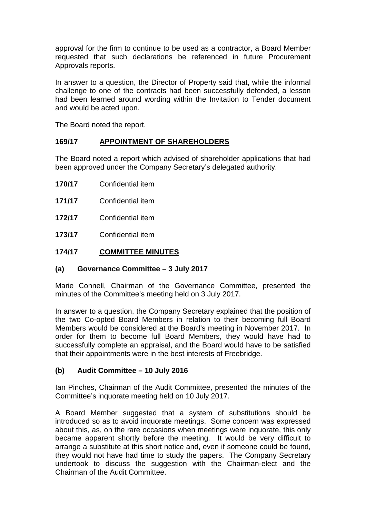approval for the firm to continue to be used as a contractor, a Board Member requested that such declarations be referenced in future Procurement Approvals reports.

In answer to a question, the Director of Property said that, while the informal challenge to one of the contracts had been successfully defended, a lesson had been learned around wording within the Invitation to Tender document and would be acted upon.

The Board noted the report.

# **169/17 APPOINTMENT OF SHAREHOLDERS**

The Board noted a report which advised of shareholder applications that had been approved under the Company Secretary's delegated authority.

- **170/17** Confidential item
- **171/17** Confidential item
- **172/17** Confidential item
- **173/17** Confidential item

#### **174/17 COMMITTEE MINUTES**

#### **(a) Governance Committee – 3 July 2017**

Marie Connell, Chairman of the Governance Committee, presented the minutes of the Committee's meeting held on 3 July 2017.

In answer to a question, the Company Secretary explained that the position of the two Co-opted Board Members in relation to their becoming full Board Members would be considered at the Board's meeting in November 2017. In order for them to become full Board Members, they would have had to successfully complete an appraisal, and the Board would have to be satisfied that their appointments were in the best interests of Freebridge.

#### **(b) Audit Committee – 10 July 2016**

Ian Pinches, Chairman of the Audit Committee, presented the minutes of the Committee's inquorate meeting held on 10 July 2017.

A Board Member suggested that a system of substitutions should be introduced so as to avoid inquorate meetings. Some concern was expressed about this, as, on the rare occasions when meetings were inquorate, this only became apparent shortly before the meeting. It would be very difficult to arrange a substitute at this short notice and, even if someone could be found, they would not have had time to study the papers. The Company Secretary undertook to discuss the suggestion with the Chairman-elect and the Chairman of the Audit Committee.